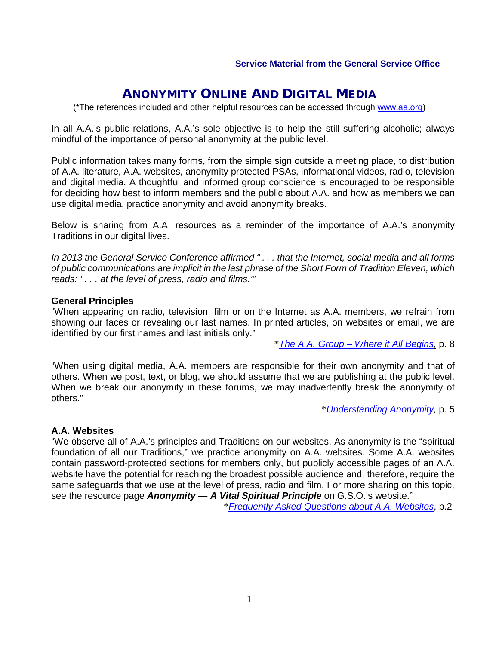# ANONYMITY ONLINE AND DIGITAL MEDIA

(\*The references included and other helpful resources can be accessed through www.aa.org)

In all A.A.'s public relations, A.A.'s sole objective is to help the still suffering alcoholic; always mindful of the importance of personal anonymity at the public level.

Public information takes many forms, from the simple sign outside a meeting place, to distribution of A.A. literature, A.A. websites, anonymity protected PSAs, informational videos, radio, television and digital media. A thoughtful and informed group conscience is encouraged to be responsible for deciding how best to inform members and the public about A.A. and how as members we can use digital media, practice anonymity and avoid anonymity breaks.

Below is sharing from A.A. resources as a reminder of the importance of A.A.'s anonymity Traditions in our digital lives.

*In 2013 the General Service Conference affirmed " . . . that the Internet, social media and all forms of public communications are implicit in the last [phrase of the Short Form of Tradition Ele](http://www.aa.org/twelveandtwelve/en_pdfs/en_tradition12.pdf)ven, which reads: ' . . . at the level of press, radio and films.'"* 

#### **General Principles**

"When appearing on radio, television, film or on the Internet as A.A. members, we refrain from showing our faces or revealing our last names. [In printed articles, on websites or emai](http://www.aa.org/pdf/products/p-16_theaagroup.pdf)l, we are identified by our first names and last initials only."

\**The A.A. Group – Where it All Begins,* p. 8

"When using digital media, A.A. members are responsible for their own anonymity and that of others. When we post, text, or blog, we should assume that we are publishing at the public level. When we break our anonymity in these forums, we may i[nadvertently break the anon](http://www.aa.org/pdf/products/p-47_understandinganonymity.pdf)ymity of others."

\**Understanding Anonymity,* p. 5

#### **A.A. Websites**

"We observe all of A.A.'s principles and Traditions on our websites. As anonymity is the "spiritual foundation of all our Traditions," we practice anonymity on A.A. websites. Some A.A. websites contain password-protected sections for members only, but publicly accessible pages of an A.A. website have the potential for reaching the broadest possible audience and, therefore, require the same safeguards that we use at th[e level of press, radio and film. For more sharing on th](http://www.aa.org/en_pdfs/smf-101_en.pdf)is topic, see the resource page *Anonymity — A Vital Spiritual Principle* on G.S.O.'s website."

\**Frequently Asked Questions about A.A. Websites*, p.2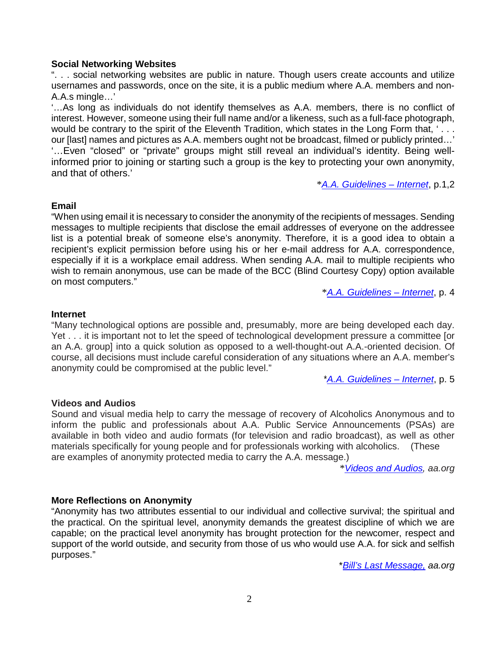### **Social Networking Websites**

". . . social networking websites are public in nature. Though users create accounts and utilize usernames and passwords, once on the site, it is a public medium where A.A. members and non-A.A.s mingle…'

'…As long as individuals do not identify themselves as A.[A. members, there is no co](http://www.aa.org/lang/en/en_pdfs/mg-18_internet.pdf)nflict of interest. However, someone using their full name and/or a likeness, such as a full-face photograph, would be contrary to the spirit of the Eleventh Tradition, which states in the Long Form that, '... our [last] names and pictures as A.A. members ought not be broadcast, filmed or publicly printed…' '…Even "closed" or "private" groups might still reveal an individual's identity. Being wellinformed prior to joining or starting such a group is the key to protecting your own anonymity, and that of others.'

\**A.A. Guidelines – Internet*, p.1,2

#### **Email**

"When using email it is necessary to consider the anonymity of the recipients of messages. Sending messages to multiple recipients that disclose the email addr[esses of everyone on the ad](http://www.aa.org/lang/en/en_pdfs/mg-18_internet.pdf)dressee list is a potential break of someone else's anonymity. Therefore, it is a good idea to obtain a recipient's explicit permission before using his or her e-mail address for A.A. correspondence, especially if it is a workplace email address. When sending A.A. mail to multiple recipients who wish to remain anonymous, use can be made of the BCC (Blind Courtesy Copy) option available on most computers."

\**A.A. Guidelines – Internet*, p. 4

#### **Internet**

"Many technological options are possible and, presumably, more are bei[ng developed each d](http://www.aa.org/lang/en/subpage.cfm?page=312)ay. Yet . . . it is important not to let the speed of technological development pressure a committee [or an A.A. group] into a quick solution as opposed to a well-thought-out A.A.-oriented decision. Of course, all decisions must include careful consideration of any situations where an A.A. member's anonymity could be compromised at the public level."

\**A.A. Guidelines – Internet*, p. 5

#### **Videos and Audios**

Sound and visual media help to carry the mes[sage of recovery of Alcoholics Anonym](http://www.aa.org/twelveandtwelve/en_pdfs/en_tradition12.pdf)ous and to inform the public and professionals about A.A. Public Service Announcements (PSAs) are available in both video and audio formats (for television and radio broadcast), as well as other materials specifically for young people and for professionals working with alcoholics. (These are examples of anonymity protected media to carry the A.A. message.)

\**Videos and Audios, aa.org*

#### **More Reflections on Anonymity**

"Anonymity has two attributes essential to our individual and collective survival; the spiritual and the practical. On the spiritual level, anonymity demands the greatest discipline of which we are capable; on the practical level anonymity has brought protection for the newcomer, respect and support of the world outside, and security from those of us who would use A.A. for sick and selfish purposes."

\**Bill's Last Message, aa.org*